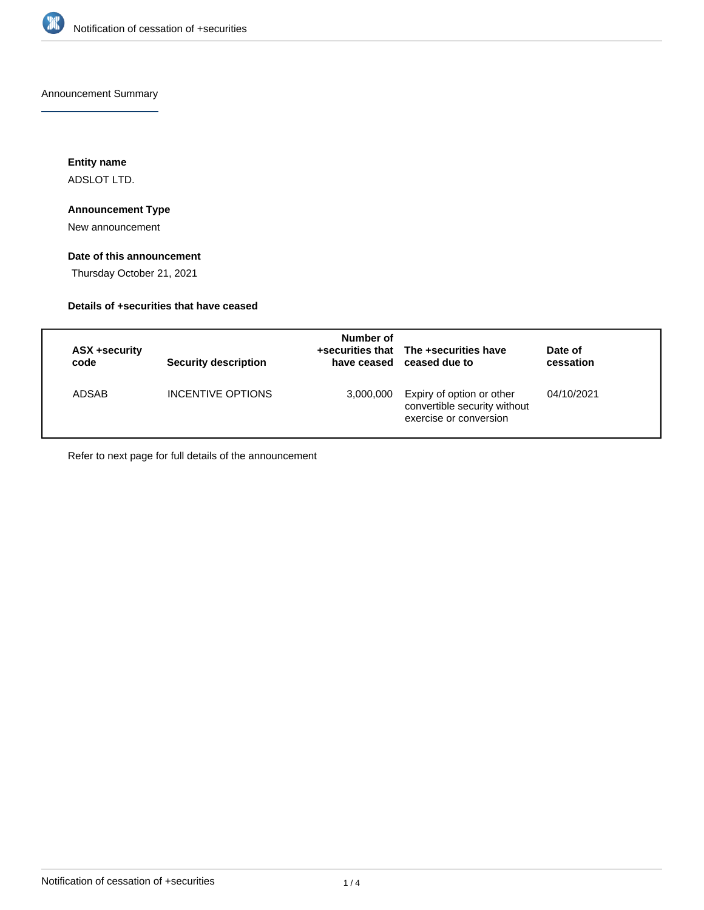

Announcement Summary

**Entity name**

ADSLOT LTD.

### **Announcement Type**

New announcement

### **Date of this announcement**

Thursday October 21, 2021

### **Details of +securities that have ceased**

| ASX +security<br>code | <b>Security description</b> | Number of | +securities that The +securities have<br>have ceased ceased due to                  | Date of<br>cessation |
|-----------------------|-----------------------------|-----------|-------------------------------------------------------------------------------------|----------------------|
| ADSAB                 | INCENTIVE OPTIONS           | 3,000,000 | Expiry of option or other<br>convertible security without<br>exercise or conversion | 04/10/2021           |

Refer to next page for full details of the announcement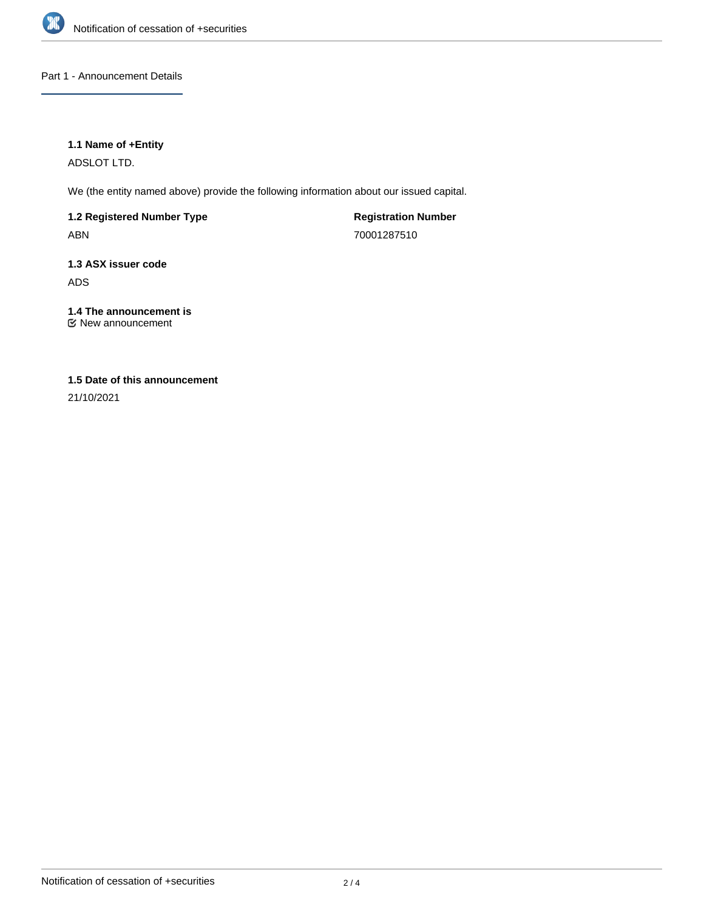

Part 1 - Announcement Details

### **1.1 Name of +Entity**

ADSLOT LTD.

We (the entity named above) provide the following information about our issued capital.

**1.2 Registered Number Type** ABN

**Registration Number** 70001287510

**1.3 ASX issuer code** ADS

**1.4 The announcement is** New announcement

### **1.5 Date of this announcement**

21/10/2021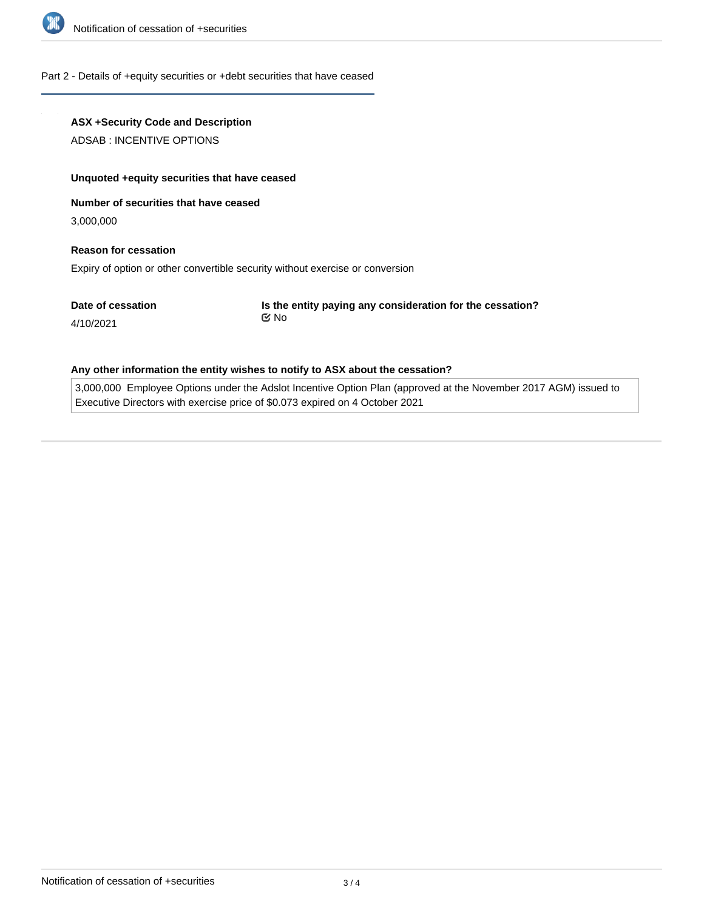

### Part 2 - Details of +equity securities or +debt securities that have ceased

## **ASX +Security Code and Description**

ADSAB : INCENTIVE OPTIONS

### **Unquoted +equity securities that have ceased**

### **Number of securities that have ceased**

3,000,000

# **Reason for cessation**

Expiry of option or other convertible security without exercise or conversion

**Date of cessation**

**Is the entity paying any consideration for the cessation?** No

# 4/10/2021

### **Any other information the entity wishes to notify to ASX about the cessation?**

3,000,000 Employee Options under the Adslot Incentive Option Plan (approved at the November 2017 AGM) issued to Executive Directors with exercise price of \$0.073 expired on 4 October 2021